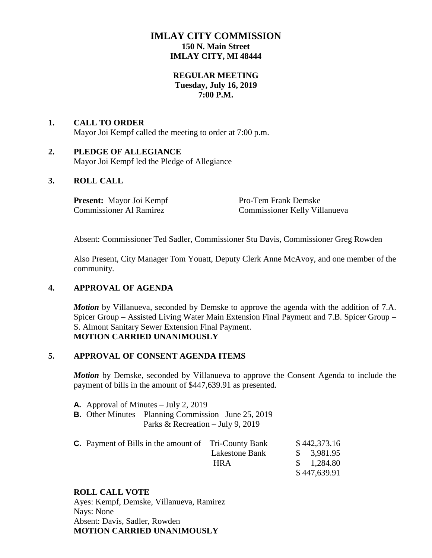# **IMLAY CITY COMMISSION 150 N. Main Street IMLAY CITY, MI 48444**

### **REGULAR MEETING Tuesday, July 16, 2019 7:00 P.M.**

# **1. CALL TO ORDER** Mayor Joi Kempf called the meeting to order at 7:00 p.m.

### **2. PLEDGE OF ALLEGIANCE** Mayor Joi Kempf led the Pledge of Allegiance

# **3. ROLL CALL**

**Present:** Mayor Joi Kempf Pro-Tem Frank Demske

Commissioner Al Ramirez Commissioner Kelly Villanueva

Absent: Commissioner Ted Sadler, Commissioner Stu Davis, Commissioner Greg Rowden

Also Present, City Manager Tom Youatt, Deputy Clerk Anne McAvoy, and one member of the community.

# **4. APPROVAL OF AGENDA**

*Motion* by Villanueva, seconded by Demske to approve the agenda with the addition of 7.A. Spicer Group – Assisted Living Water Main Extension Final Payment and 7.B. Spicer Group – S. Almont Sanitary Sewer Extension Final Payment. **MOTION CARRIED UNANIMOUSLY**

#### **5. APPROVAL OF CONSENT AGENDA ITEMS**

*Motion* by Demske, seconded by Villanueva to approve the Consent Agenda to include the payment of bills in the amount of \$447,639.91 as presented.

- **A.** Approval of Minutes July 2, 2019
- **B.** Other Minutes Planning Commission– June 25, 2019 Parks & Recreation – July 9, 2019
- **C.** Payment of Bills in the amount of  $-$  Tri-County Bank  $$442,373.16$ Lakestone Bank  $\$$  3,981.95 HRA \$ 1,284.80 \$ 447,639.91

#### **ROLL CALL VOTE**

Ayes: Kempf, Demske, Villanueva, Ramirez Nays: None Absent: Davis, Sadler, Rowden **MOTION CARRIED UNANIMOUSLY**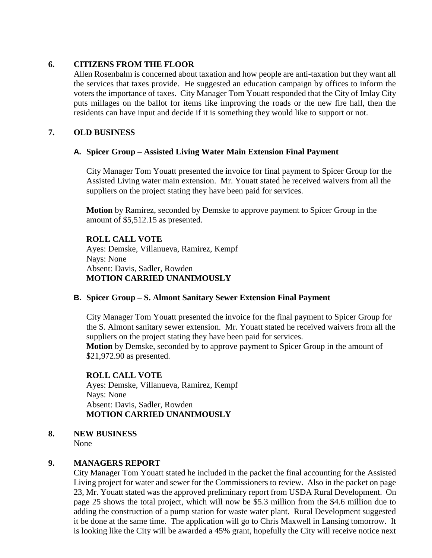# **6. CITIZENS FROM THE FLOOR**

Allen Rosenbalm is concerned about taxation and how people are anti-taxation but they want all the services that taxes provide. He suggested an education campaign by offices to inform the voters the importance of taxes. City Manager Tom Youatt responded that the City of Imlay City puts millages on the ballot for items like improving the roads or the new fire hall, then the residents can have input and decide if it is something they would like to support or not.

### **7. OLD BUSINESS**

#### **A. Spicer Group – Assisted Living Water Main Extension Final Payment**

City Manager Tom Youatt presented the invoice for final payment to Spicer Group for the Assisted Living water main extension. Mr. Youatt stated he received waivers from all the suppliers on the project stating they have been paid for services.

**Motion** by Ramirez, seconded by Demske to approve payment to Spicer Group in the amount of \$5,512.15 as presented.

### **ROLL CALL VOTE** Ayes: Demske, Villanueva, Ramirez, Kempf Nays: None Absent: Davis, Sadler, Rowden **MOTION CARRIED UNANIMOUSLY**

#### **B. Spicer Group – S. Almont Sanitary Sewer Extension Final Payment**

City Manager Tom Youatt presented the invoice for the final payment to Spicer Group for the S. Almont sanitary sewer extension. Mr. Youatt stated he received waivers from all the suppliers on the project stating they have been paid for services.

**Motion** by Demske, seconded by to approve payment to Spicer Group in the amount of \$21,972.90 as presented.

#### **ROLL CALL VOTE**

Ayes: Demske, Villanueva, Ramirez, Kempf Nays: None Absent: Davis, Sadler, Rowden **MOTION CARRIED UNANIMOUSLY**

#### **8. NEW BUSINESS**

None

# **9. MANAGERS REPORT**

City Manager Tom Youatt stated he included in the packet the final accounting for the Assisted Living project for water and sewer for the Commissioners to review. Also in the packet on page 23, Mr. Youatt stated was the approved preliminary report from USDA Rural Development. On page 25 shows the total project, which will now be \$5.3 million from the \$4.6 million due to adding the construction of a pump station for waste water plant. Rural Development suggested it be done at the same time. The application will go to Chris Maxwell in Lansing tomorrow. It is looking like the City will be awarded a 45% grant, hopefully the City will receive notice next